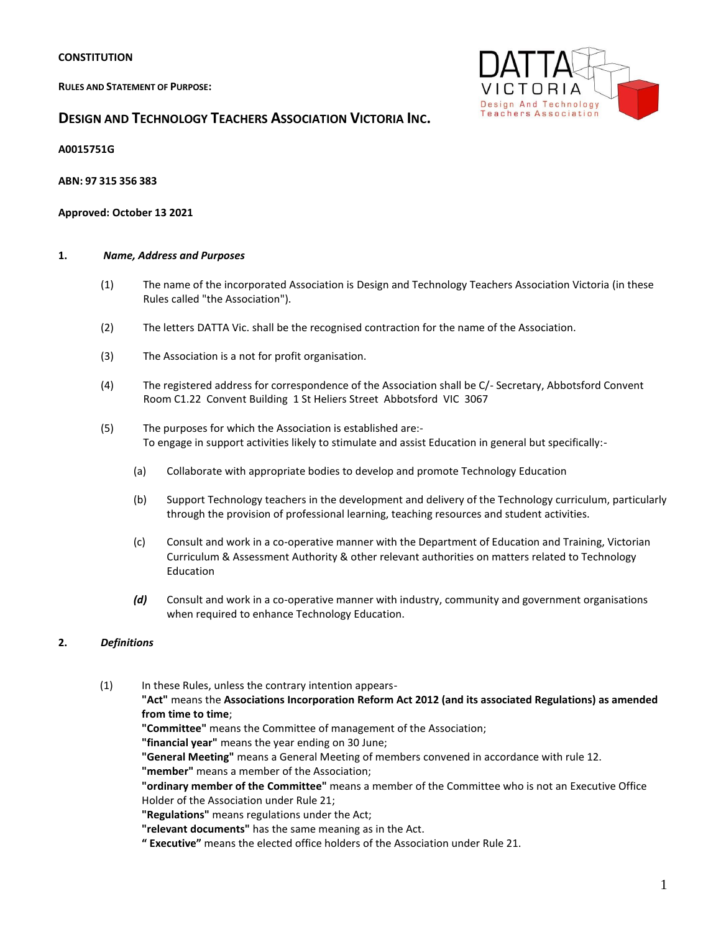**RULES AND STATEMENT OF PURPOSE:**



# **DESIGN AND TECHNOLOGY TEACHERS ASSOCIATION VICTORIA INC.**

**A0015751G**

**ABN: 97 315 356 383**

# **Approved: October 13 2021**

#### **1.** *Name, Address and Purposes*

- (1) The name of the incorporated Association is Design and Technology Teachers Association Victoria (in these Rules called "the Association").
- (2) The letters DATTA Vic. shall be the recognised contraction for the name of the Association.
- (3) The Association is a not for profit organisation.
- (4) The registered address for correspondence of the Association shall be C/- Secretary, Abbotsford Convent Room C1.22 Convent Building 1 St Heliers Street Abbotsford VIC 3067
- (5) The purposes for which the Association is established are:- To engage in support activities likely to stimulate and assist Education in general but specifically:-
	- (a) Collaborate with appropriate bodies to develop and promote Technology Education
	- (b) Support Technology teachers in the development and delivery of the Technology curriculum, particularly through the provision of professional learning, teaching resources and student activities.
	- (c) Consult and work in a co-operative manner with the Department of Education and Training, Victorian Curriculum & Assessment Authority & other relevant authorities on matters related to Technology Education
	- *(d)* Consult and work in a co-operative manner with industry, community and government organisations when required to enhance Technology Education.

#### **2.** *Definitions*

- (1) In these Rules, unless the contrary intention appears- **"Act"** means the **Associations Incorporation Reform Act 2012 (and its associated Regulations) as amended from time to time**;
	- **"Committee"** means the Committee of management of the Association;

**"financial year"** means the year ending on 30 June;

**"General Meeting"** means a General Meeting of members convened in accordance with rule 12.

**"member"** means a member of the Association;

**"ordinary member of the Committee"** means a member of the Committee who is not an Executive Office Holder of the Association under Rule 21;

**"Regulations"** means regulations under the Act;

**"relevant documents"** has the same meaning as in the Act.

**" Executive"** means the elected office holders of the Association under Rule 21.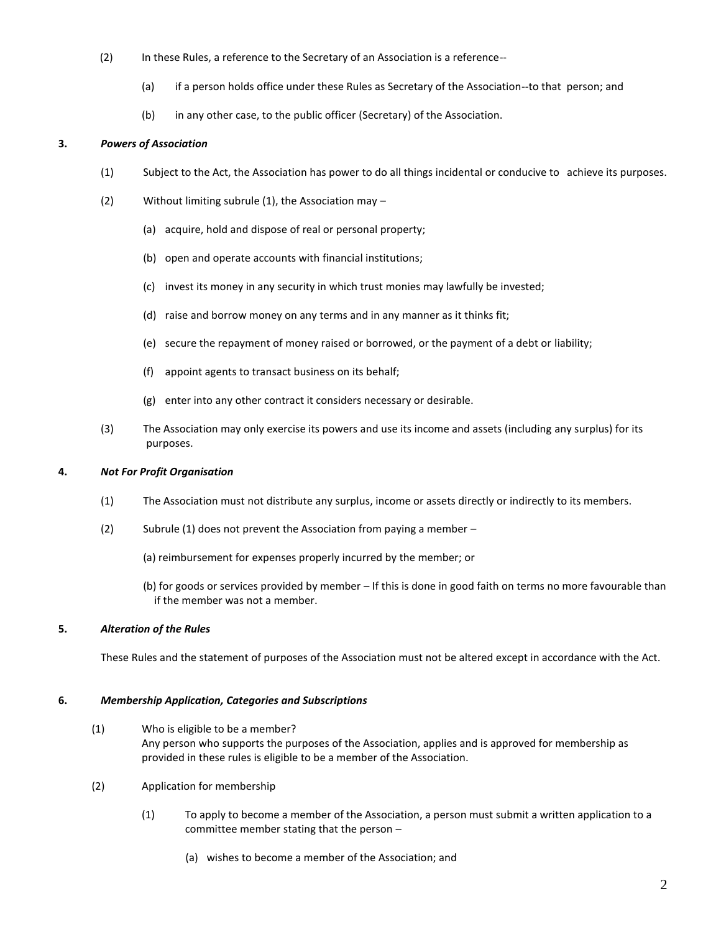- (2) In these Rules, a reference to the Secretary of an Association is a reference--
	- (a) if a person holds office under these Rules as Secretary of the Association--to that person; and
	- (b) in any other case, to the public officer (Secretary) of the Association.

#### **3.** *Powers of Association*

- (1) Subject to the Act, the Association has power to do all things incidental or conducive to achieve its purposes.
- (2) Without limiting subrule (1), the Association may
	- (a) acquire, hold and dispose of real or personal property;
	- (b) open and operate accounts with financial institutions;
	- (c) invest its money in any security in which trust monies may lawfully be invested;
	- (d) raise and borrow money on any terms and in any manner as it thinks fit;
	- (e) secure the repayment of money raised or borrowed, or the payment of a debt or liability;
	- (f) appoint agents to transact business on its behalf;
	- (g) enter into any other contract it considers necessary or desirable.
- (3) The Association may only exercise its powers and use its income and assets (including any surplus) for its purposes.

#### **4.** *Not For Profit Organisation*

- (1) The Association must not distribute any surplus, income or assets directly or indirectly to its members.
- (2) Subrule (1) does not prevent the Association from paying a member
	- (a) reimbursement for expenses properly incurred by the member; or
	- (b) for goods or services provided by member If this is done in good faith on terms no more favourable than if the member was not a member.

# **5.** *Alteration of the Rules*

These Rules and the statement of purposes of the Association must not be altered except in accordance with the Act.

#### **6.** *Membership Application, Categories and Subscriptions*

- (1) Who is eligible to be a member? Any person who supports the purposes of the Association, applies and is approved for membership as provided in these rules is eligible to be a member of the Association.
- (2) Application for membership
	- (1) To apply to become a member of the Association, a person must submit a written application to a committee member stating that the person –
		- (a) wishes to become a member of the Association; and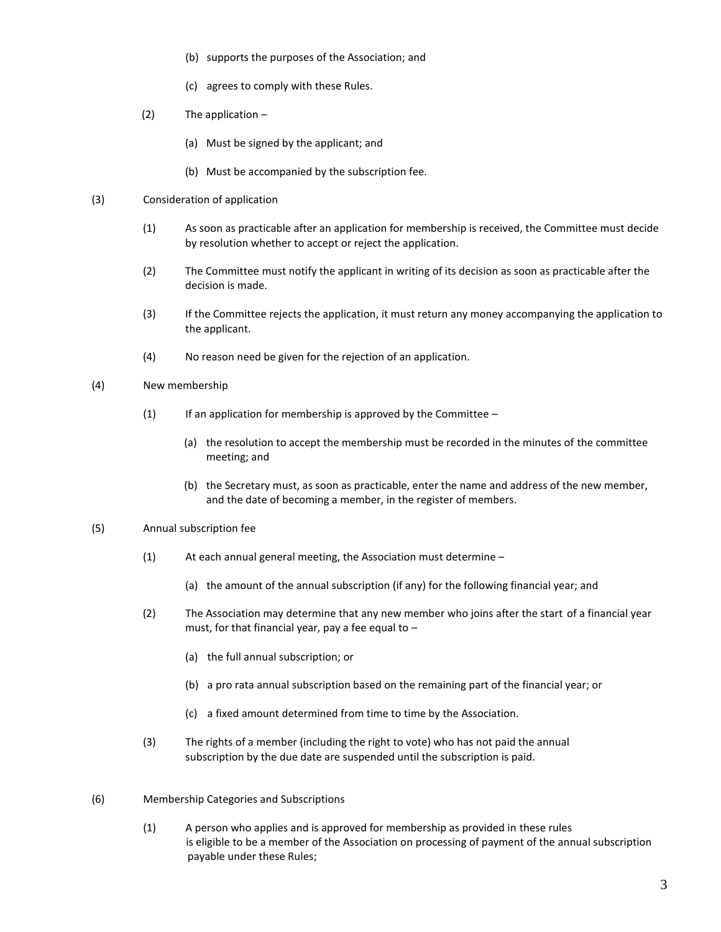- (b) supports the purposes of the Association; and
- (c) agrees to comply with these Rules.
- $(2)$  The application
	- (a) Must be signed by the applicant; and
	- (b) Must be accompanied by the subscription fee.
- (3) Consideration of application
	- (1) As soon as practicable after an application for membership is received, the Committee must decide by resolution whether to accept or reject the application.
	- (2) The Committee must notify the applicant in writing of its decision as soon as practicable after the decision is made.
	- (3) If the Committee rejects the application, it must return any money accompanying the application to the applicant.
	- (4) No reason need be given for the rejection of an application.

# (4) New membership

- (1) If an application for membership is approved by the Committee  $-$ 
	- (a) the resolution to accept the membership must be recorded in the minutes of the committee meeting; and
	- (b) the Secretary must, as soon as practicable, enter the name and address of the new member, and the date of becoming a member, in the register of members.

# (5) Annual subscription fee

- (1) At each annual general meeting, the Association must determine
	- (a) the amount of the annual subscription (if any) for the following financial year; and
- (2) The Association may determine that any new member who joins after the start of a financial year must, for that financial year, pay a fee equal to  $-$ 
	- (a) the full annual subscription; or
	- (b) a pro rata annual subscription based on the remaining part of the financial year; or
	- (c) a fixed amount determined from time to time by the Association.
- (3) The rights of a member (including the right to vote) who has not paid the annual subscription by the due date are suspended until the subscription is paid.
- (6) Membership Categories and Subscriptions
	- (1) A person who applies and is approved for membership as provided in these rules is eligible to be a member of the Association on processing of payment of the annual subscription payable under these Rules;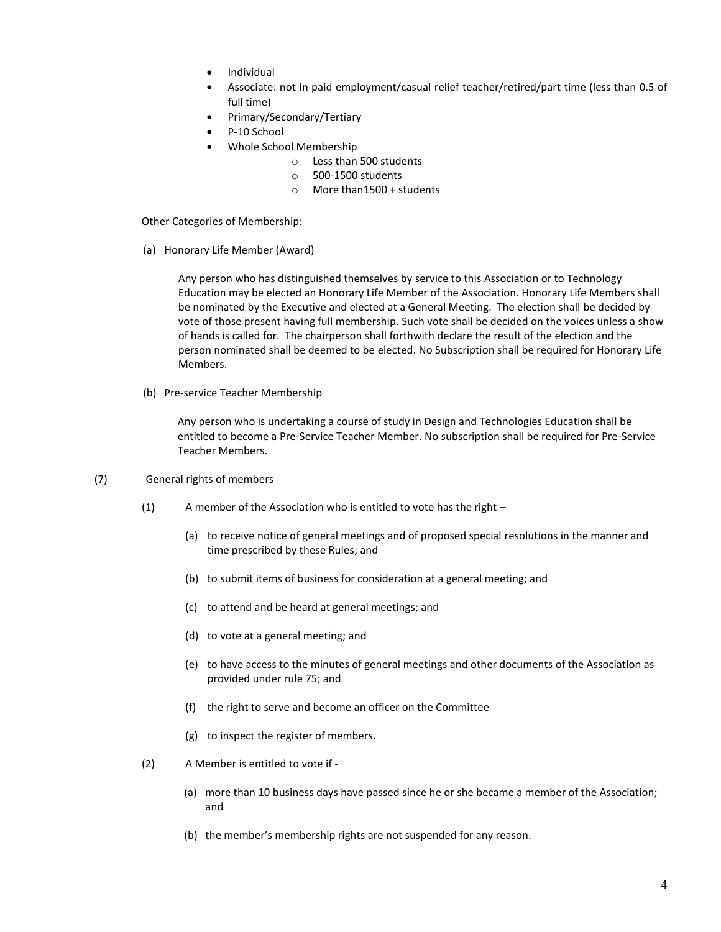- Individual
- Associate: not in paid employment/casual relief teacher/retired/part time (less than 0.5 of full time)
- Primary/Secondary/Tertiary
- P-10 School
- Whole School Membership
	- o Less than 500 students
	- o 500-1500 students
	- o More than1500 + students

Other Categories of Membership:

(a) Honorary Life Member (Award)

Any person who has distinguished themselves by service to this Association or to Technology Education may be elected an Honorary Life Member of the Association. Honorary Life Members shall be nominated by the Executive and elected at a General Meeting. The election shall be decided by vote of those present having full membership. Such vote shall be decided on the voices unless a show of hands is called for. The chairperson shall forthwith declare the result of the election and the person nominated shall be deemed to be elected. No Subscription shall be required for Honorary Life Members.

(b) Pre-service Teacher Membership

 Any person who is undertaking a course of study in Design and Technologies Education shall be entitled to become a Pre-Service Teacher Member. No subscription shall be required for Pre-Service Teacher Members.

#### (7) General rights of members

- (1) A member of the Association who is entitled to vote has the right
	- (a) to receive notice of general meetings and of proposed special resolutions in the manner and time prescribed by these Rules; and
	- (b) to submit items of business for consideration at a general meeting; and
	- (c) to attend and be heard at general meetings; and
	- (d) to vote at a general meeting; and
	- (e) to have access to the minutes of general meetings and other documents of the Association as provided under rule 75; and
	- (f) the right to serve and become an officer on the Committee
	- (g) to inspect the register of members.
- (2) A Member is entitled to vote if
	- (a) more than 10 business days have passed since he or she became a member of the Association; and
	- (b) the member's membership rights are not suspended for any reason.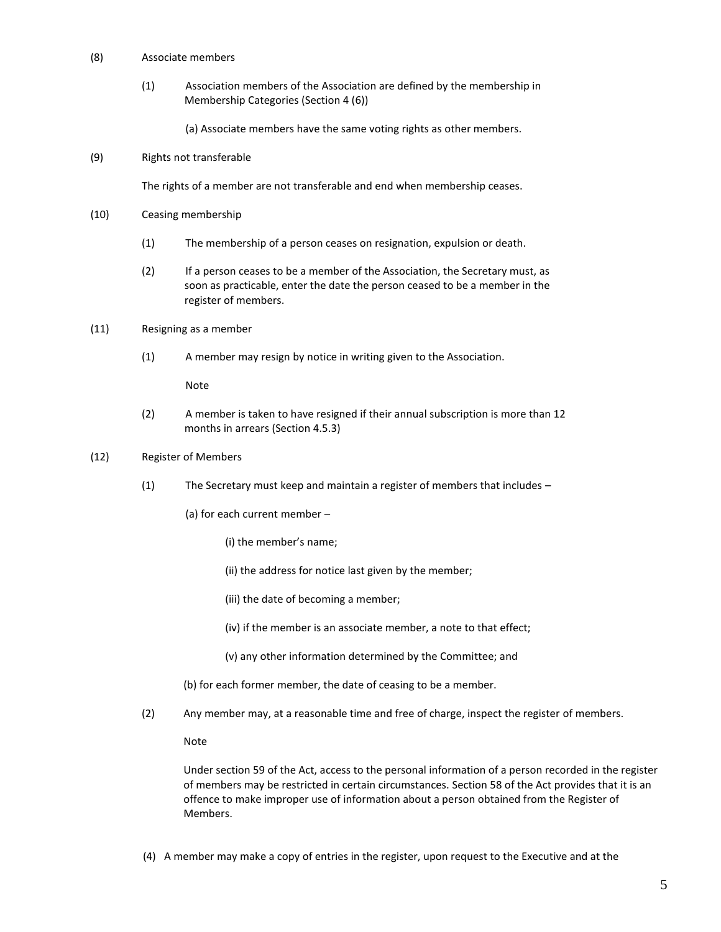- (8) Associate members
	- (1) Association members of the Association are defined by the membership in Membership Categories (Section 4 (6))

(a) Associate members have the same voting rights as other members.

#### (9) Rights not transferable

The rights of a member are not transferable and end when membership ceases.

- (10) Ceasing membership
	- (1) The membership of a person ceases on resignation, expulsion or death.
	- (2) If a person ceases to be a member of the Association, the Secretary must, as soon as practicable, enter the date the person ceased to be a member in the register of members.

#### (11) Resigning as a member

(1) A member may resign by notice in writing given to the Association.

Note

(2) A member is taken to have resigned if their annual subscription is more than 12 months in arrears (Section 4.5.3)

#### (12) Register of Members

- (1) The Secretary must keep and maintain a register of members that includes
	- (a) for each current member
		- (i) the member's name;
		- (ii) the address for notice last given by the member;
		- (iii) the date of becoming a member;
		- (iv) if the member is an associate member, a note to that effect;
		- (v) any other information determined by the Committee; and

(b) for each former member, the date of ceasing to be a member.

(2) Any member may, at a reasonable time and free of charge, inspect the register of members.

Note

Under section 59 of the Act, access to the personal information of a person recorded in the register of members may be restricted in certain circumstances. Section 58 of the Act provides that it is an offence to make improper use of information about a person obtained from the Register of Members.

(4) A member may make a copy of entries in the register, upon request to the Executive and at the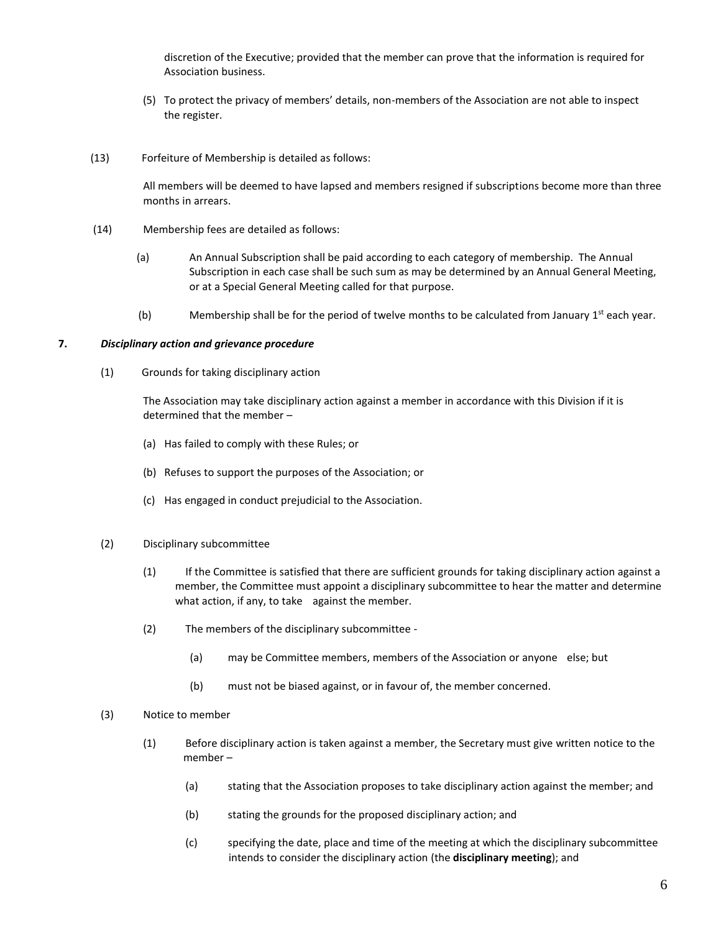discretion of the Executive; provided that the member can prove that the information is required for Association business.

- (5) To protect the privacy of members' details, non-members of the Association are not able to inspect the register.
- (13) Forfeiture of Membership is detailed as follows:

All members will be deemed to have lapsed and members resigned if subscriptions become more than three months in arrears.

- (14) Membership fees are detailed as follows:
	- (a) An Annual Subscription shall be paid according to each category of membership. The Annual Subscription in each case shall be such sum as may be determined by an Annual General Meeting, or at a Special General Meeting called for that purpose.
	- (b) Membership shall be for the period of twelve months to be calculated from January  $1<sup>st</sup>$  each year.

#### **7.** *Disciplinary action and grievance procedure*

(1) Grounds for taking disciplinary action

The Association may take disciplinary action against a member in accordance with this Division if it is determined that the member –

- (a) Has failed to comply with these Rules; or
- (b) Refuses to support the purposes of the Association; or
- (c) Has engaged in conduct prejudicial to the Association.

#### (2) Disciplinary subcommittee

- (1) If the Committee is satisfied that there are sufficient grounds for taking disciplinary action against a member, the Committee must appoint a disciplinary subcommittee to hear the matter and determine what action, if any, to take against the member.
- (2) The members of the disciplinary subcommittee
	- (a) may be Committee members, members of the Association or anyone else; but
	- (b) must not be biased against, or in favour of, the member concerned.

#### (3) Notice to member

- (1) Before disciplinary action is taken against a member, the Secretary must give written notice to the member –
	- (a) stating that the Association proposes to take disciplinary action against the member; and
	- (b) stating the grounds for the proposed disciplinary action; and
	- (c) specifying the date, place and time of the meeting at which the disciplinary subcommittee intends to consider the disciplinary action (the **disciplinary meeting**); and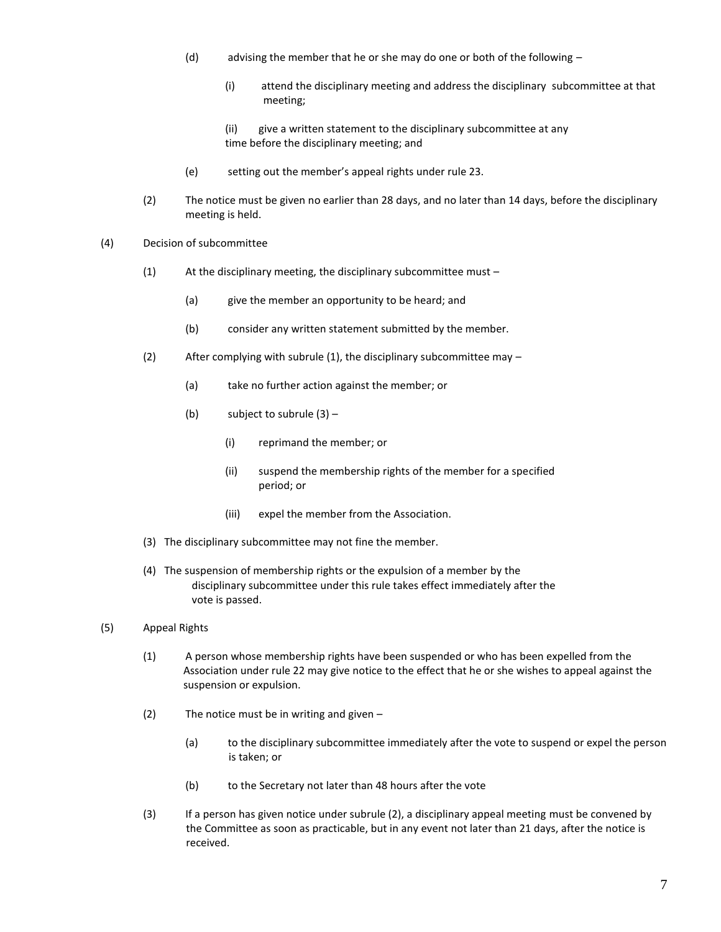- (d) advising the member that he or she may do one or both of the following
	- (i) attend the disciplinary meeting and address the disciplinary subcommittee at that meeting;
	- (ii) give a written statement to the disciplinary subcommittee at any time before the disciplinary meeting; and
- (e) setting out the member's appeal rights under rule 23.
- (2) The notice must be given no earlier than 28 days, and no later than 14 days, before the disciplinary meeting is held.
- (4) Decision of subcommittee
	- (1) At the disciplinary meeting, the disciplinary subcommittee must
		- (a) give the member an opportunity to be heard; and
		- (b) consider any written statement submitted by the member.
	- (2) After complying with subrule (1), the disciplinary subcommittee may  $-$ 
		- (a) take no further action against the member; or
		- (b) subject to subrule (3)
			- (i) reprimand the member; or
			- (ii) suspend the membership rights of the member for a specified period; or
			- (iii) expel the member from the Association.
	- (3) The disciplinary subcommittee may not fine the member.
	- (4) The suspension of membership rights or the expulsion of a member by the disciplinary subcommittee under this rule takes effect immediately after the vote is passed.
- (5) Appeal Rights
	- (1) A person whose membership rights have been suspended or who has been expelled from the Association under rule 22 may give notice to the effect that he or she wishes to appeal against the suspension or expulsion.
	- (2) The notice must be in writing and given
		- (a) to the disciplinary subcommittee immediately after the vote to suspend or expel the person is taken; or
		- (b) to the Secretary not later than 48 hours after the vote
	- (3) If a person has given notice under subrule (2), a disciplinary appeal meeting must be convened by the Committee as soon as practicable, but in any event not later than 21 days, after the notice is received.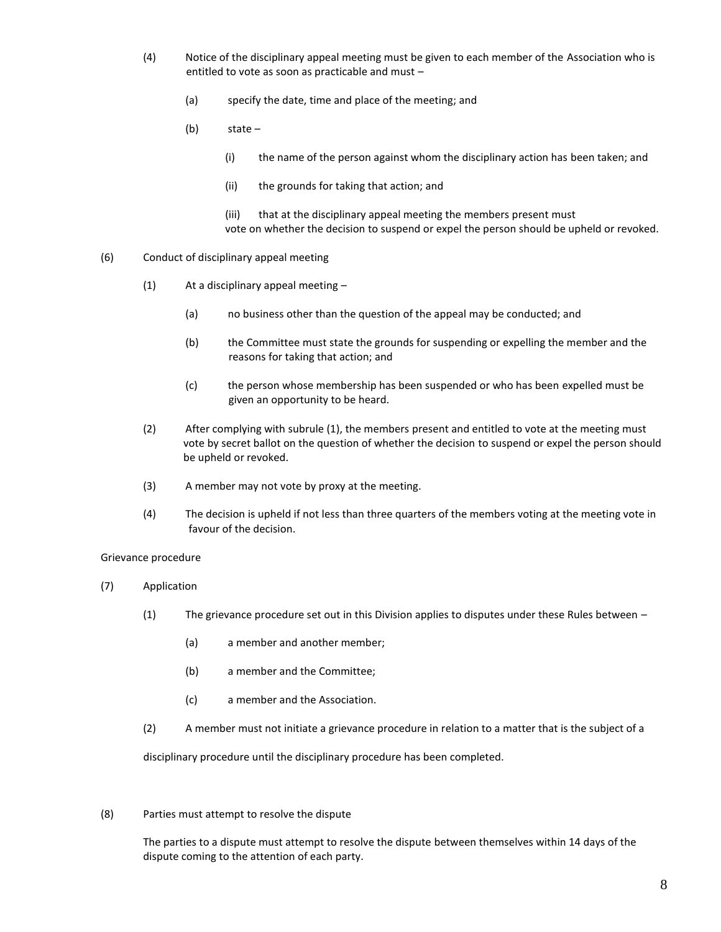- (4) Notice of the disciplinary appeal meeting must be given to each member of the Association who is entitled to vote as soon as practicable and must –
	- (a) specify the date, time and place of the meeting; and
	- (b) state
		- (i) the name of the person against whom the disciplinary action has been taken; and
		- (ii) the grounds for taking that action; and
		- (iii) that at the disciplinary appeal meeting the members present must vote on whether the decision to suspend or expel the person should be upheld or revoked.
- (6) Conduct of disciplinary appeal meeting
	- (1) At a disciplinary appeal meeting
		- (a) no business other than the question of the appeal may be conducted; and
		- (b) the Committee must state the grounds for suspending or expelling the member and the reasons for taking that action; and
		- (c) the person whose membership has been suspended or who has been expelled must be given an opportunity to be heard.
	- (2) After complying with subrule (1), the members present and entitled to vote at the meeting must vote by secret ballot on the question of whether the decision to suspend or expel the person should be upheld or revoked.
	- (3) A member may not vote by proxy at the meeting.
	- (4) The decision is upheld if not less than three quarters of the members voting at the meeting vote in favour of the decision.

#### Grievance procedure

- (7) Application
	- (1) The grievance procedure set out in this Division applies to disputes under these Rules between
		- (a) a member and another member;
		- (b) a member and the Committee;
		- (c) a member and the Association.
	- (2) A member must not initiate a grievance procedure in relation to a matter that is the subject of a

disciplinary procedure until the disciplinary procedure has been completed.

(8) Parties must attempt to resolve the dispute

The parties to a dispute must attempt to resolve the dispute between themselves within 14 days of the dispute coming to the attention of each party.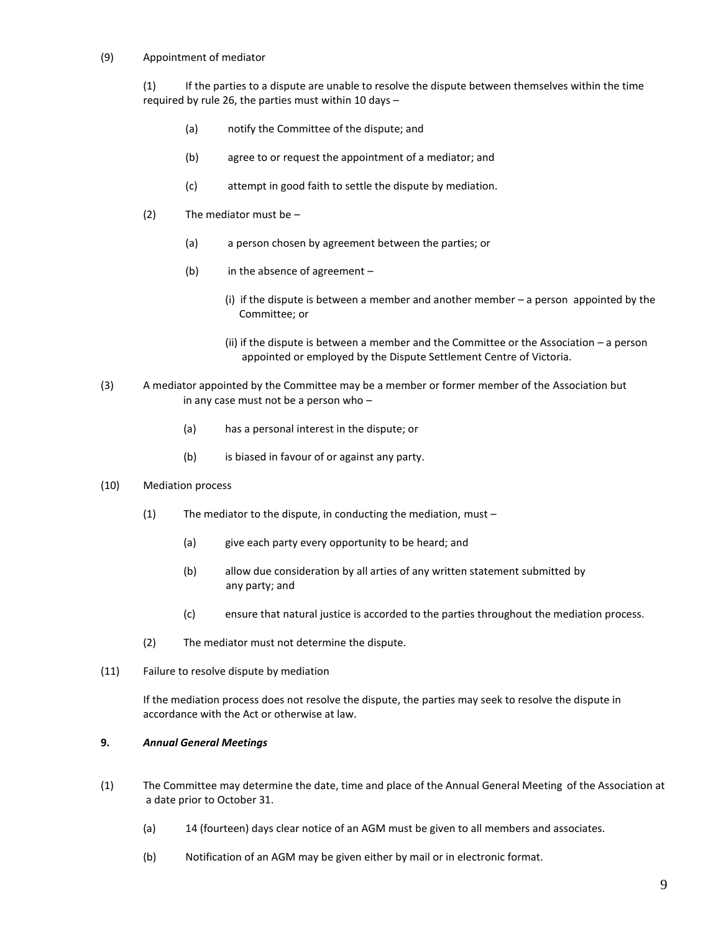#### (9) Appointment of mediator

(1) If the parties to a dispute are unable to resolve the dispute between themselves within the time required by rule 26, the parties must within 10 days –

- (a) notify the Committee of the dispute; and
- (b) agree to or request the appointment of a mediator; and
- (c) attempt in good faith to settle the dispute by mediation.
- (2) The mediator must be
	- (a) a person chosen by agreement between the parties; or
	- (b) in the absence of agreement
		- (i) if the dispute is between a member and another member a person appointed by the Committee; or
		- (ii) if the dispute is between a member and the Committee or the Association a person appointed or employed by the Dispute Settlement Centre of Victoria.
- (3) A mediator appointed by the Committee may be a member or former member of the Association but in any case must not be a person who –
	- (a) has a personal interest in the dispute; or
	- (b) is biased in favour of or against any party.
- (10) Mediation process
	- (1) The mediator to the dispute, in conducting the mediation, must  $-$ 
		- (a) give each party every opportunity to be heard; and
		- (b) allow due consideration by all arties of any written statement submitted by any party; and
		- (c) ensure that natural justice is accorded to the parties throughout the mediation process.
	- (2) The mediator must not determine the dispute.
- (11) Failure to resolve dispute by mediation

If the mediation process does not resolve the dispute, the parties may seek to resolve the dispute in accordance with the Act or otherwise at law.

#### **9.** *Annual General Meetings*

- (1) The Committee may determine the date, time and place of the Annual General Meeting of the Association at a date prior to October 31.
	- (a) 14 (fourteen) days clear notice of an AGM must be given to all members and associates.
	- (b) Notification of an AGM may be given either by mail or in electronic format.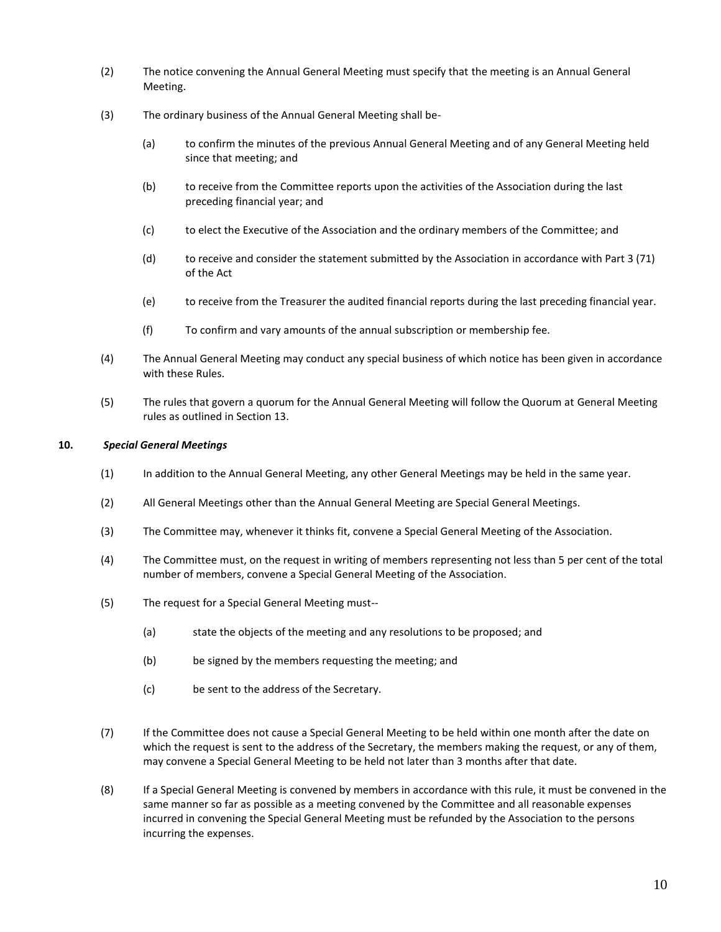- (2) The notice convening the Annual General Meeting must specify that the meeting is an Annual General Meeting.
- (3) The ordinary business of the Annual General Meeting shall be-
	- (a) to confirm the minutes of the previous Annual General Meeting and of any General Meeting held since that meeting; and
	- (b) to receive from the Committee reports upon the activities of the Association during the last preceding financial year; and
	- (c) to elect the Executive of the Association and the ordinary members of the Committee; and
	- (d) to receive and consider the statement submitted by the Association in accordance with Part 3 (71) of the Act
	- (e) to receive from the Treasurer the audited financial reports during the last preceding financial year.
	- (f) To confirm and vary amounts of the annual subscription or membership fee.
- (4) The Annual General Meeting may conduct any special business of which notice has been given in accordance with these Rules.
- (5) The rules that govern a quorum for the Annual General Meeting will follow the Quorum at General Meeting rules as outlined in Section 13.

#### **10.** *Special General Meetings*

- (1) In addition to the Annual General Meeting, any other General Meetings may be held in the same year.
- (2) All General Meetings other than the Annual General Meeting are Special General Meetings.
- (3) The Committee may, whenever it thinks fit, convene a Special General Meeting of the Association.
- (4) The Committee must, on the request in writing of members representing not less than 5 per cent of the total number of members, convene a Special General Meeting of the Association.
- (5) The request for a Special General Meeting must--
	- (a) state the objects of the meeting and any resolutions to be proposed; and
	- (b) be signed by the members requesting the meeting; and
	- (c) be sent to the address of the Secretary.
- (7) If the Committee does not cause a Special General Meeting to be held within one month after the date on which the request is sent to the address of the Secretary, the members making the request, or any of them, may convene a Special General Meeting to be held not later than 3 months after that date.
- (8) If a Special General Meeting is convened by members in accordance with this rule, it must be convened in the same manner so far as possible as a meeting convened by the Committee and all reasonable expenses incurred in convening the Special General Meeting must be refunded by the Association to the persons incurring the expenses.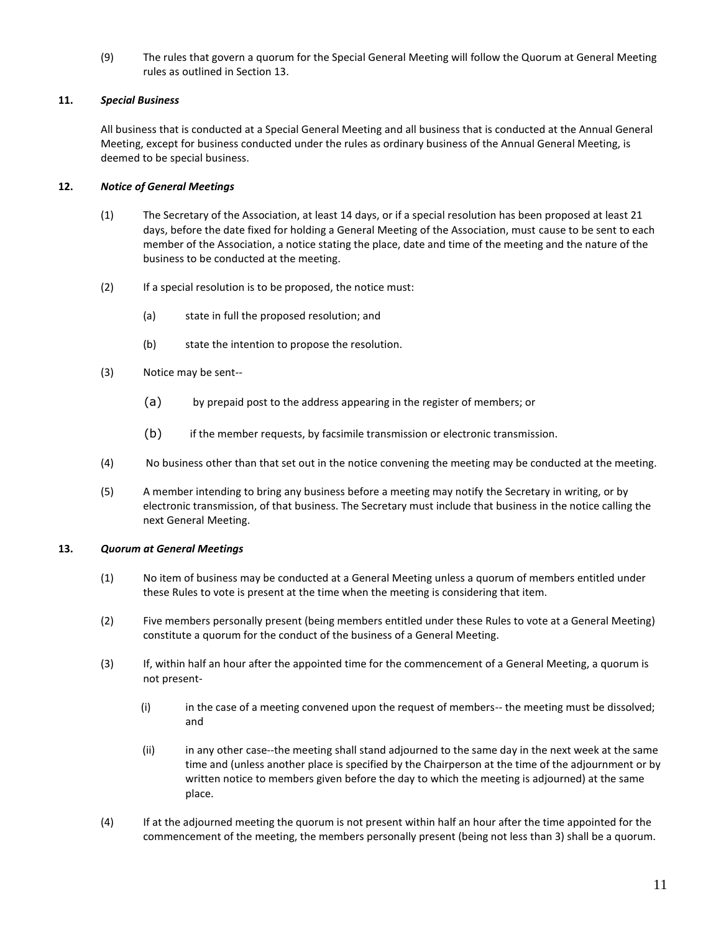(9) The rules that govern a quorum for the Special General Meeting will follow the Quorum at General Meeting rules as outlined in Section 13.

# **11.** *Special Business*

All business that is conducted at a Special General Meeting and all business that is conducted at the Annual General Meeting, except for business conducted under the rules as ordinary business of the Annual General Meeting, is deemed to be special business.

# **12.** *Notice of General Meetings*

- (1) The Secretary of the Association, at least 14 days, or if a special resolution has been proposed at least 21 days, before the date fixed for holding a General Meeting of the Association, must cause to be sent to each member of the Association, a notice stating the place, date and time of the meeting and the nature of the business to be conducted at the meeting.
- (2) If a special resolution is to be proposed, the notice must:
	- (a) state in full the proposed resolution; and
	- (b) state the intention to propose the resolution.
- (3) Notice may be sent--
	- (a) by prepaid post to the address appearing in the register of members; or
	- (b) if the member requests, by facsimile transmission or electronic transmission.
- (4) No business other than that set out in the notice convening the meeting may be conducted at the meeting.
- (5) A member intending to bring any business before a meeting may notify the Secretary in writing, or by electronic transmission, of that business. The Secretary must include that business in the notice calling the next General Meeting.

#### **13.** *Quorum at General Meetings*

- (1) No item of business may be conducted at a General Meeting unless a quorum of members entitled under these Rules to vote is present at the time when the meeting is considering that item.
- (2) Five members personally present (being members entitled under these Rules to vote at a General Meeting) constitute a quorum for the conduct of the business of a General Meeting.
- (3) If, within half an hour after the appointed time for the commencement of a General Meeting, a quorum is not present-
	- (i) in the case of a meeting convened upon the request of members-- the meeting must be dissolved; and
	- (ii) in any other case--the meeting shall stand adjourned to the same day in the next week at the same time and (unless another place is specified by the Chairperson at the time of the adjournment or by written notice to members given before the day to which the meeting is adjourned) at the same place.
- (4) If at the adjourned meeting the quorum is not present within half an hour after the time appointed for the commencement of the meeting, the members personally present (being not less than 3) shall be a quorum.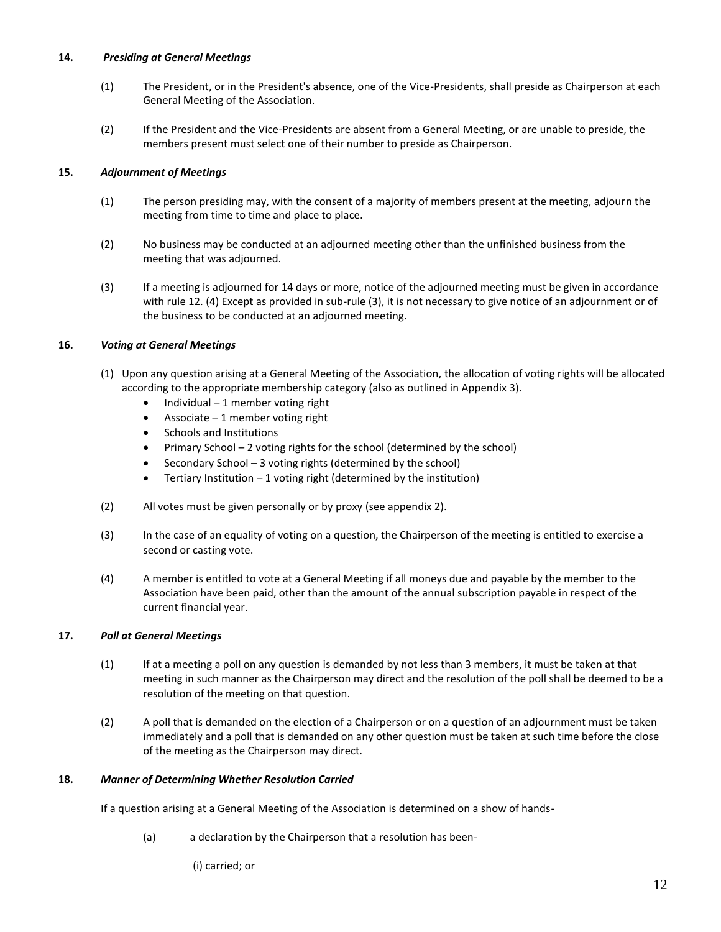#### **14.** *Presiding at General Meetings*

- (1) The President, or in the President's absence, one of the Vice-Presidents, shall preside as Chairperson at each General Meeting of the Association.
- (2) If the President and the Vice-Presidents are absent from a General Meeting, or are unable to preside, the members present must select one of their number to preside as Chairperson.

#### **15.** *Adjournment of Meetings*

- (1) The person presiding may, with the consent of a majority of members present at the meeting, adjourn the meeting from time to time and place to place.
- (2) No business may be conducted at an adjourned meeting other than the unfinished business from the meeting that was adjourned.
- (3) If a meeting is adjourned for 14 days or more, notice of the adjourned meeting must be given in accordance with rule 12. (4) Except as provided in sub-rule (3), it is not necessary to give notice of an adjournment or of the business to be conducted at an adjourned meeting.

# **16.** *Voting at General Meetings*

- (1) Upon any question arising at a General Meeting of the Association, the allocation of voting rights will be allocated according to the appropriate membership category (also as outlined in Appendix 3).
	- $\bullet$  Individual 1 member voting right
	- Associate  $-1$  member voting right
	- Schools and Institutions
	- Primary School 2 voting rights for the school (determined by the school)
	- Secondary School 3 voting rights (determined by the school)
	- Tertiary Institution 1 voting right (determined by the institution)
- (2) All votes must be given personally or by proxy (see appendix 2).
- (3) In the case of an equality of voting on a question, the Chairperson of the meeting is entitled to exercise a second or casting vote.
- (4) A member is entitled to vote at a General Meeting if all moneys due and payable by the member to the Association have been paid, other than the amount of the annual subscription payable in respect of the current financial year.

#### **17.** *Poll at General Meetings*

- (1) If at a meeting a poll on any question is demanded by not less than 3 members, it must be taken at that meeting in such manner as the Chairperson may direct and the resolution of the poll shall be deemed to be a resolution of the meeting on that question.
- (2) A poll that is demanded on the election of a Chairperson or on a question of an adjournment must be taken immediately and a poll that is demanded on any other question must be taken at such time before the close of the meeting as the Chairperson may direct.

#### **18.** *Manner of Determining Whether Resolution Carried*

If a question arising at a General Meeting of the Association is determined on a show of hands-

(a) a declaration by the Chairperson that a resolution has been-

(i) carried; or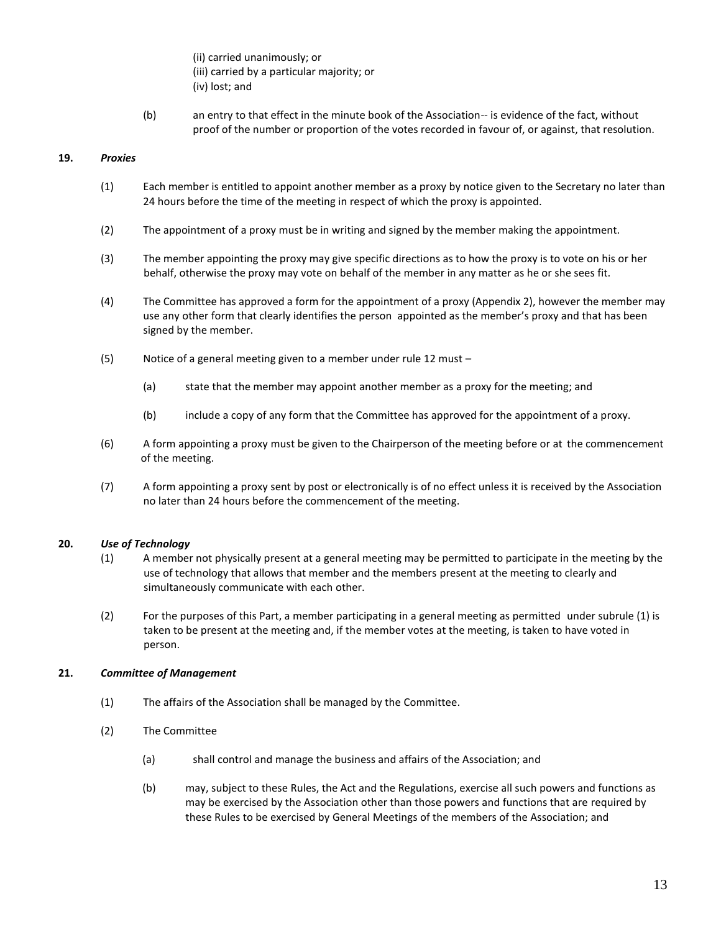(ii) carried unanimously; or

- (iii) carried by a particular majority; or
- (iv) lost; and
- (b) an entry to that effect in the minute book of the Association-- is evidence of the fact, without proof of the number or proportion of the votes recorded in favour of, or against, that resolution.

# **19.** *Proxies*

- (1) Each member is entitled to appoint another member as a proxy by notice given to the Secretary no later than 24 hours before the time of the meeting in respect of which the proxy is appointed.
- (2) The appointment of a proxy must be in writing and signed by the member making the appointment.
- (3) The member appointing the proxy may give specific directions as to how the proxy is to vote on his or her behalf, otherwise the proxy may vote on behalf of the member in any matter as he or she sees fit.
- (4) The Committee has approved a form for the appointment of a proxy (Appendix 2), however the member may use any other form that clearly identifies the person appointed as the member's proxy and that has been signed by the member.
- (5) Notice of a general meeting given to a member under rule 12 must
	- (a) state that the member may appoint another member as a proxy for the meeting; and
	- (b) include a copy of any form that the Committee has approved for the appointment of a proxy.
- (6) A form appointing a proxy must be given to the Chairperson of the meeting before or at the commencement of the meeting.
- (7) A form appointing a proxy sent by post or electronically is of no effect unless it is received by the Association no later than 24 hours before the commencement of the meeting.

# **20.** *Use of Technology*

- (1) A member not physically present at a general meeting may be permitted to participate in the meeting by the use of technology that allows that member and the members present at the meeting to clearly and simultaneously communicate with each other.
- (2) For the purposes of this Part, a member participating in a general meeting as permitted under subrule (1) is taken to be present at the meeting and, if the member votes at the meeting, is taken to have voted in person.

# **21.** *Committee of Management*

- (1) The affairs of the Association shall be managed by the Committee.
- (2) The Committee
	- (a) shall control and manage the business and affairs of the Association; and
	- (b) may, subject to these Rules, the Act and the Regulations, exercise all such powers and functions as may be exercised by the Association other than those powers and functions that are required by these Rules to be exercised by General Meetings of the members of the Association; and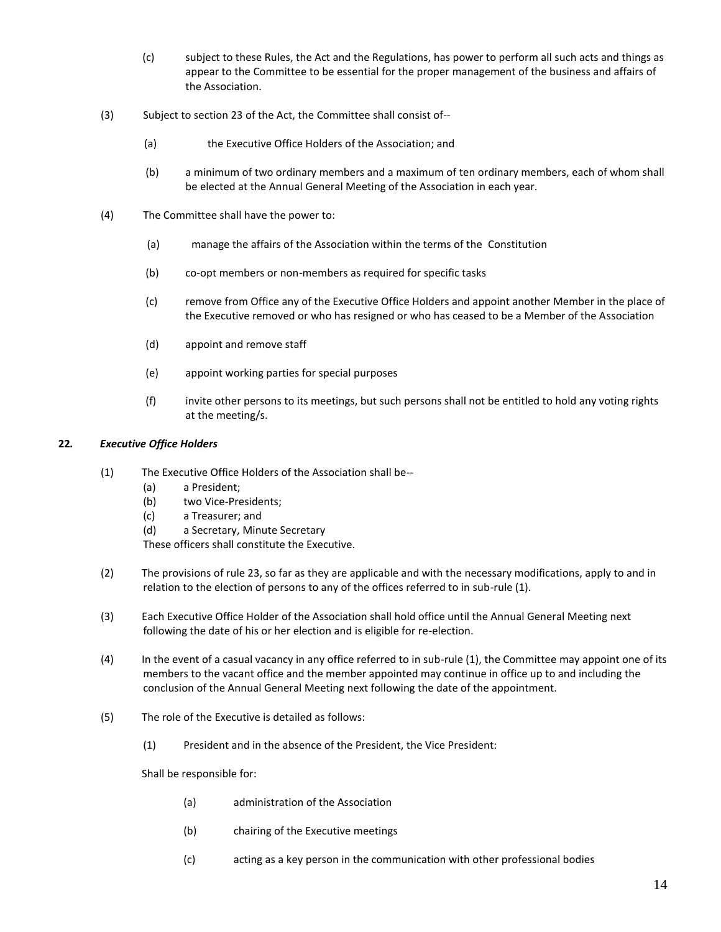- (c) subject to these Rules, the Act and the Regulations, has power to perform all such acts and things as appear to the Committee to be essential for the proper management of the business and affairs of the Association.
- (3) Subject to section 23 of the Act, the Committee shall consist of--
	- (a) the Executive Office Holders of the Association; and
	- (b) a minimum of two ordinary members and a maximum of ten ordinary members, each of whom shall be elected at the Annual General Meeting of the Association in each year.
- (4) The Committee shall have the power to:
	- (a) manage the affairs of the Association within the terms of the Constitution
	- (b) co-opt members or non-members as required for specific tasks
	- (c) remove from Office any of the Executive Office Holders and appoint another Member in the place of the Executive removed or who has resigned or who has ceased to be a Member of the Association
	- (d) appoint and remove staff
	- (e) appoint working parties for special purposes
	- (f) invite other persons to its meetings, but such persons shall not be entitled to hold any voting rights at the meeting/s.

# **22***. Executive Office Holders*

- (1) The Executive Office Holders of the Association shall be--
	- (a) a President;
	- (b) two Vice-Presidents;
	- (c) a Treasurer; and
	- (d) a Secretary, Minute Secretary
	- These officers shall constitute the Executive.
- (2) The provisions of rule 23, so far as they are applicable and with the necessary modifications, apply to and in relation to the election of persons to any of the offices referred to in sub-rule (1).
- (3) Each Executive Office Holder of the Association shall hold office until the Annual General Meeting next following the date of his or her election and is eligible for re-election.
- (4) In the event of a casual vacancy in any office referred to in sub-rule (1), the Committee may appoint one of its members to the vacant office and the member appointed may continue in office up to and including the conclusion of the Annual General Meeting next following the date of the appointment.
- (5) The role of the Executive is detailed as follows:
	- (1) President and in the absence of the President, the Vice President:

Shall be responsible for:

- (a) administration of the Association
- (b) chairing of the Executive meetings
- (c) acting as a key person in the communication with other professional bodies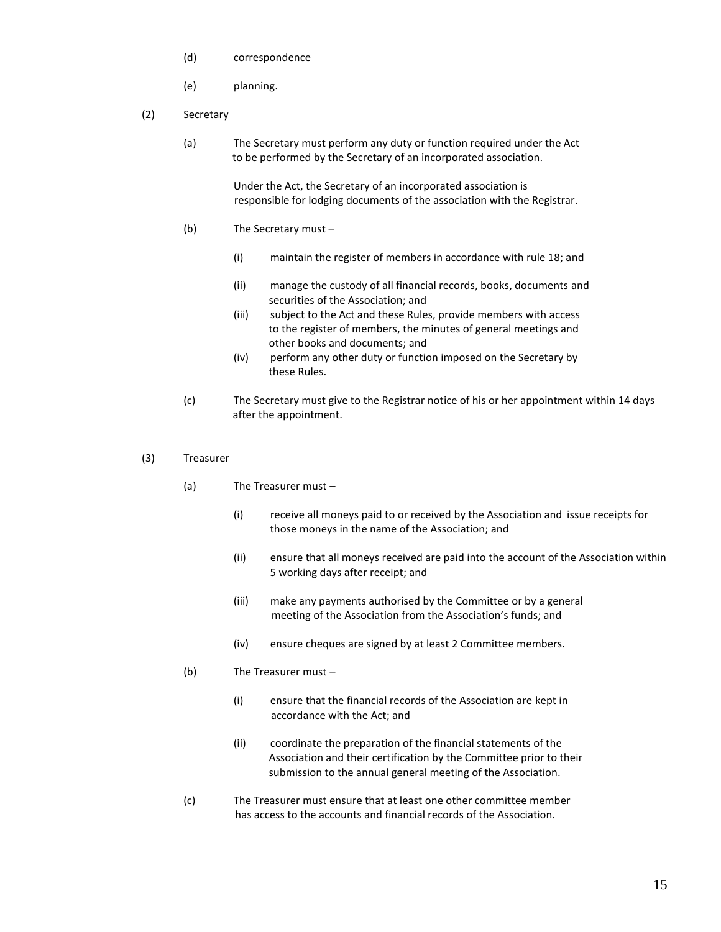- (d) correspondence
- (e) planning.
- (2) Secretary
	- (a) The Secretary must perform any duty or function required under the Act to be performed by the Secretary of an incorporated association.

Under the Act, the Secretary of an incorporated association is responsible for lodging documents of the association with the Registrar.

- (b) The Secretary must
	- (i) maintain the register of members in accordance with rule 18; and
	- (ii) manage the custody of all financial records, books, documents and securities of the Association; and
	- (iii) subject to the Act and these Rules, provide members with access to the register of members, the minutes of general meetings and other books and documents; and
	- (iv) perform any other duty or function imposed on the Secretary by these Rules.
- (c) The Secretary must give to the Registrar notice of his or her appointment within 14 days after the appointment.
- (3) Treasurer
	- (a) The Treasurer must
		- (i) receive all moneys paid to or received by the Association and issue receipts for those moneys in the name of the Association; and
		- (ii) ensure that all moneys received are paid into the account of the Association within 5 working days after receipt; and
		- (iii) make any payments authorised by the Committee or by a general meeting of the Association from the Association's funds; and
		- (iv) ensure cheques are signed by at least 2 Committee members.
	- (b) The Treasurer must
		- (i) ensure that the financial records of the Association are kept in accordance with the Act; and
		- (ii) coordinate the preparation of the financial statements of the Association and their certification by the Committee prior to their submission to the annual general meeting of the Association.
	- (c) The Treasurer must ensure that at least one other committee member has access to the accounts and financial records of the Association.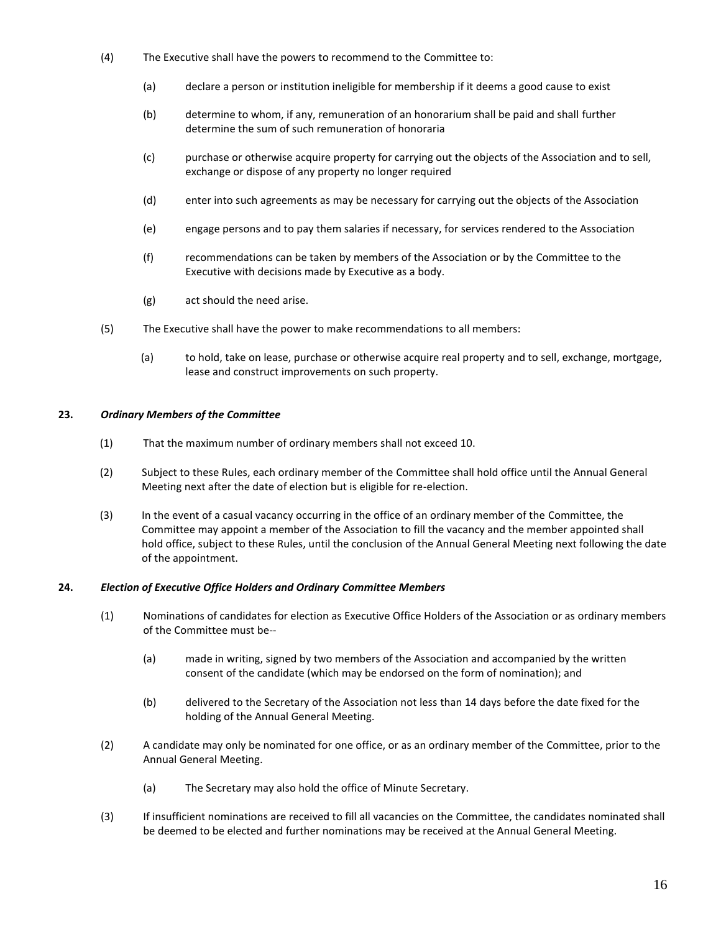- (4) The Executive shall have the powers to recommend to the Committee to:
	- (a) declare a person or institution ineligible for membership if it deems a good cause to exist
	- (b) determine to whom, if any, remuneration of an honorarium shall be paid and shall further determine the sum of such remuneration of honoraria
	- (c) purchase or otherwise acquire property for carrying out the objects of the Association and to sell, exchange or dispose of any property no longer required
	- (d) enter into such agreements as may be necessary for carrying out the objects of the Association
	- (e) engage persons and to pay them salaries if necessary, for services rendered to the Association
	- (f) recommendations can be taken by members of the Association or by the Committee to the Executive with decisions made by Executive as a body.
	- (g) act should the need arise.
- (5) The Executive shall have the power to make recommendations to all members:
	- (a) to hold, take on lease, purchase or otherwise acquire real property and to sell, exchange, mortgage, lease and construct improvements on such property.

#### **23.** *Ordinary Members of the Committee*

- (1) That the maximum number of ordinary members shall not exceed 10.
- (2) Subject to these Rules, each ordinary member of the Committee shall hold office until the Annual General Meeting next after the date of election but is eligible for re-election.
- (3) In the event of a casual vacancy occurring in the office of an ordinary member of the Committee, the Committee may appoint a member of the Association to fill the vacancy and the member appointed shall hold office, subject to these Rules, until the conclusion of the Annual General Meeting next following the date of the appointment.

#### **24.** *Election of Executive Office Holders and Ordinary Committee Members*

- (1) Nominations of candidates for election as Executive Office Holders of the Association or as ordinary members of the Committee must be--
	- (a) made in writing, signed by two members of the Association and accompanied by the written consent of the candidate (which may be endorsed on the form of nomination); and
	- (b) delivered to the Secretary of the Association not less than 14 days before the date fixed for the holding of the Annual General Meeting.
- (2) A candidate may only be nominated for one office, or as an ordinary member of the Committee, prior to the Annual General Meeting.
	- (a) The Secretary may also hold the office of Minute Secretary.
- (3) If insufficient nominations are received to fill all vacancies on the Committee, the candidates nominated shall be deemed to be elected and further nominations may be received at the Annual General Meeting.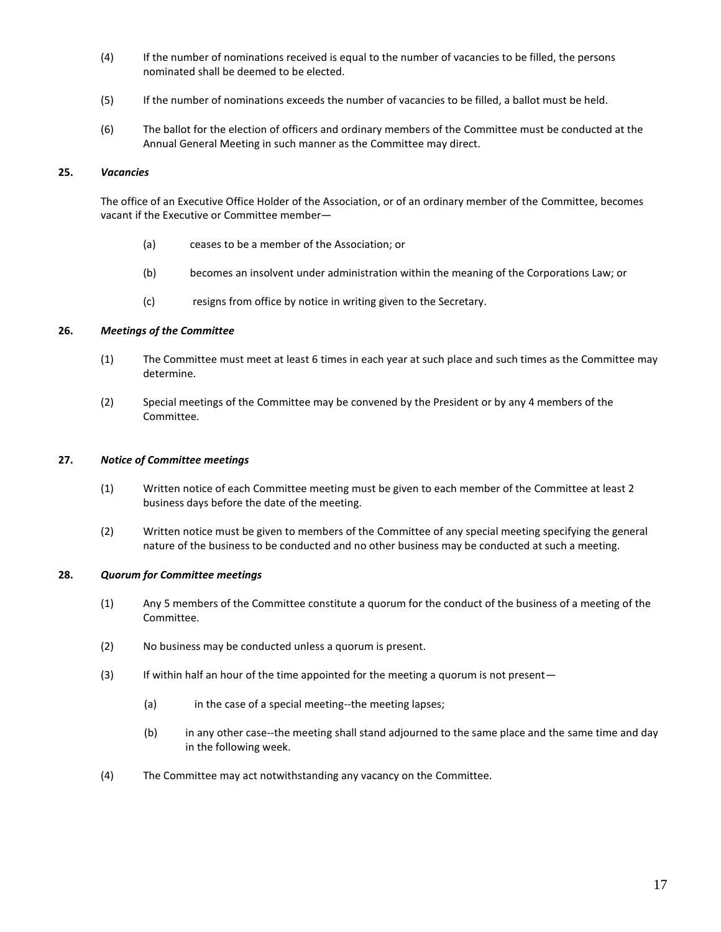- (4) If the number of nominations received is equal to the number of vacancies to be filled, the persons nominated shall be deemed to be elected.
- (5) If the number of nominations exceeds the number of vacancies to be filled, a ballot must be held.
- (6) The ballot for the election of officers and ordinary members of the Committee must be conducted at the Annual General Meeting in such manner as the Committee may direct.

# **25.** *Vacancies*

The office of an Executive Office Holder of the Association, or of an ordinary member of the Committee, becomes vacant if the Executive or Committee member—

- (a) ceases to be a member of the Association; or
- (b) becomes an insolvent under administration within the meaning of the Corporations Law; or
- (c) resigns from office by notice in writing given to the Secretary.

# **26.** *Meetings of the Committee*

- (1) The Committee must meet at least 6 times in each year at such place and such times as the Committee may determine.
- (2) Special meetings of the Committee may be convened by the President or by any 4 members of the Committee.

# **27.** *Notice of Committee meetings*

- (1) Written notice of each Committee meeting must be given to each member of the Committee at least 2 business days before the date of the meeting.
- (2) Written notice must be given to members of the Committee of any special meeting specifying the general nature of the business to be conducted and no other business may be conducted at such a meeting.

#### **28.** *Quorum for Committee meetings*

- (1) Any 5 members of the Committee constitute a quorum for the conduct of the business of a meeting of the Committee.
- (2) No business may be conducted unless a quorum is present.
- $(3)$  If within half an hour of the time appointed for the meeting a quorum is not present—
	- (a) in the case of a special meeting--the meeting lapses;
	- (b) in any other case--the meeting shall stand adjourned to the same place and the same time and day in the following week.
- (4) The Committee may act notwithstanding any vacancy on the Committee.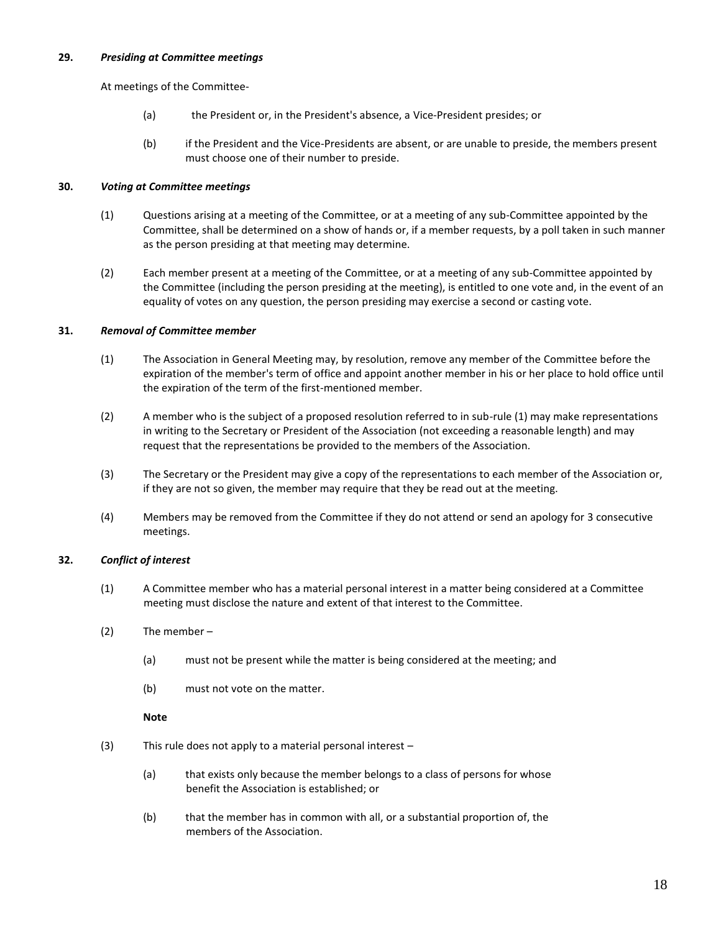#### **29.** *Presiding at Committee meetings*

At meetings of the Committee-

- (a) the President or, in the President's absence, a Vice-President presides; or
- (b) if the President and the Vice-Presidents are absent, or are unable to preside, the members present must choose one of their number to preside.

#### **30.** *Voting at Committee meetings*

- (1) Questions arising at a meeting of the Committee, or at a meeting of any sub-Committee appointed by the Committee, shall be determined on a show of hands or, if a member requests, by a poll taken in such manner as the person presiding at that meeting may determine.
- (2) Each member present at a meeting of the Committee, or at a meeting of any sub-Committee appointed by the Committee (including the person presiding at the meeting), is entitled to one vote and, in the event of an equality of votes on any question, the person presiding may exercise a second or casting vote.

#### **31.** *Removal of Committee member*

- (1) The Association in General Meeting may, by resolution, remove any member of the Committee before the expiration of the member's term of office and appoint another member in his or her place to hold office until the expiration of the term of the first-mentioned member.
- (2) A member who is the subject of a proposed resolution referred to in sub-rule (1) may make representations in writing to the Secretary or President of the Association (not exceeding a reasonable length) and may request that the representations be provided to the members of the Association.
- (3) The Secretary or the President may give a copy of the representations to each member of the Association or, if they are not so given, the member may require that they be read out at the meeting.
- (4) Members may be removed from the Committee if they do not attend or send an apology for 3 consecutive meetings.

#### **32.** *Conflict of interest*

- (1) A Committee member who has a material personal interest in a matter being considered at a Committee meeting must disclose the nature and extent of that interest to the Committee.
- (2) The member
	- (a) must not be present while the matter is being considered at the meeting; and
	- (b) must not vote on the matter.

#### **Note**

- (3) This rule does not apply to a material personal interest
	- (a) that exists only because the member belongs to a class of persons for whose benefit the Association is established; or
	- (b) that the member has in common with all, or a substantial proportion of, the members of the Association.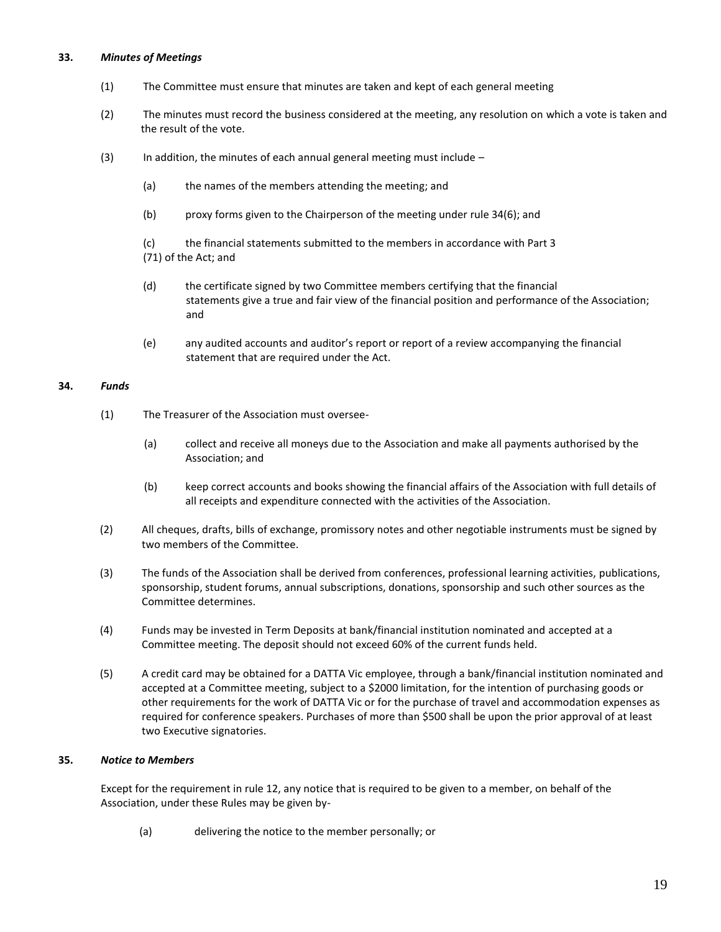#### **33.** *Minutes of Meetings*

- (1) The Committee must ensure that minutes are taken and kept of each general meeting
- (2) The minutes must record the business considered at the meeting, any resolution on which a vote is taken and the result of the vote.
- $(3)$  In addition, the minutes of each annual general meeting must include
	- (a) the names of the members attending the meeting; and
	- (b) proxy forms given to the Chairperson of the meeting under rule 34(6); and
	- (c) the financial statements submitted to the members in accordance with Part 3 (71) of the Act; and
	- (d) the certificate signed by two Committee members certifying that the financial statements give a true and fair view of the financial position and performance of the Association; and
	- (e) any audited accounts and auditor's report or report of a review accompanying the financial statement that are required under the Act.

#### **34.** *Funds*

- (1) The Treasurer of the Association must oversee-
	- (a) collect and receive all moneys due to the Association and make all payments authorised by the Association; and
	- (b) keep correct accounts and books showing the financial affairs of the Association with full details of all receipts and expenditure connected with the activities of the Association.
- (2) All cheques, drafts, bills of exchange, promissory notes and other negotiable instruments must be signed by two members of the Committee.
- (3) The funds of the Association shall be derived from conferences, professional learning activities, publications, sponsorship, student forums, annual subscriptions, donations, sponsorship and such other sources as the Committee determines.
- (4) Funds may be invested in Term Deposits at bank/financial institution nominated and accepted at a Committee meeting. The deposit should not exceed 60% of the current funds held.
- (5) A credit card may be obtained for a DATTA Vic employee, through a bank/financial institution nominated and accepted at a Committee meeting, subject to a \$2000 limitation, for the intention of purchasing goods or other requirements for the work of DATTA Vic or for the purchase of travel and accommodation expenses as required for conference speakers. Purchases of more than \$500 shall be upon the prior approval of at least two Executive signatories.

#### **35.** *Notice to Members*

Except for the requirement in rule 12, any notice that is required to be given to a member, on behalf of the Association, under these Rules may be given by-

(a) delivering the notice to the member personally; or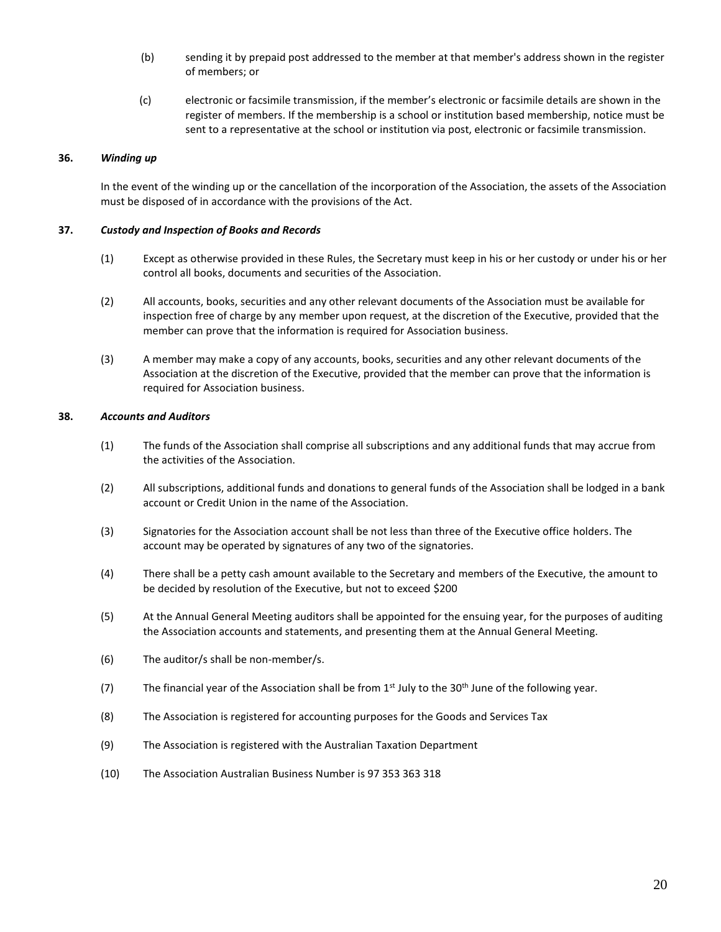- (b) sending it by prepaid post addressed to the member at that member's address shown in the register of members; or
- (c) electronic or facsimile transmission, if the member's electronic or facsimile details are shown in the register of members. If the membership is a school or institution based membership, notice must be sent to a representative at the school or institution via post, electronic or facsimile transmission.

#### **36.** *Winding up*

In the event of the winding up or the cancellation of the incorporation of the Association, the assets of the Association must be disposed of in accordance with the provisions of the Act.

#### **37.** *Custody and Inspection of Books and Records*

- (1) Except as otherwise provided in these Rules, the Secretary must keep in his or her custody or under his or her control all books, documents and securities of the Association.
- (2) All accounts, books, securities and any other relevant documents of the Association must be available for inspection free of charge by any member upon request, at the discretion of the Executive, provided that the member can prove that the information is required for Association business.
- (3) A member may make a copy of any accounts, books, securities and any other relevant documents of the Association at the discretion of the Executive, provided that the member can prove that the information is required for Association business.

# **38.** *Accounts and Auditors*

- (1) The funds of the Association shall comprise all subscriptions and any additional funds that may accrue from the activities of the Association.
- (2) All subscriptions, additional funds and donations to general funds of the Association shall be lodged in a bank account or Credit Union in the name of the Association.
- (3) Signatories for the Association account shall be not less than three of the Executive office holders. The account may be operated by signatures of any two of the signatories.
- (4) There shall be a petty cash amount available to the Secretary and members of the Executive, the amount to be decided by resolution of the Executive, but not to exceed \$200
- (5) At the Annual General Meeting auditors shall be appointed for the ensuing year, for the purposes of auditing the Association accounts and statements, and presenting them at the Annual General Meeting.
- (6) The auditor/s shall be non-member/s.
- (7) The financial year of the Association shall be from  $1<sup>st</sup>$  July to the 30<sup>th</sup> June of the following year.
- (8) The Association is registered for accounting purposes for the Goods and Services Tax
- (9) The Association is registered with the Australian Taxation Department
- (10) The Association Australian Business Number is 97 353 363 318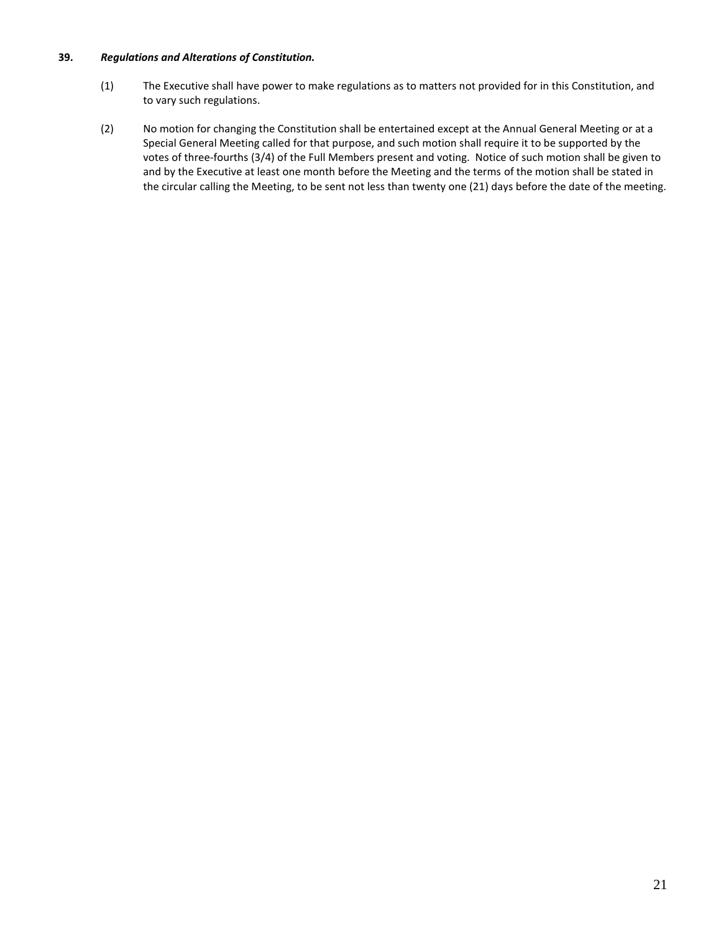# **39.** *Regulations and Alterations of Constitution.*

- (1) The Executive shall have power to make regulations as to matters not provided for in this Constitution, and to vary such regulations.
- (2) No motion for changing the Constitution shall be entertained except at the Annual General Meeting or at a Special General Meeting called for that purpose, and such motion shall require it to be supported by the votes of three-fourths (3/4) of the Full Members present and voting. Notice of such motion shall be given to and by the Executive at least one month before the Meeting and the terms of the motion shall be stated in the circular calling the Meeting, to be sent not less than twenty one (21) days before the date of the meeting.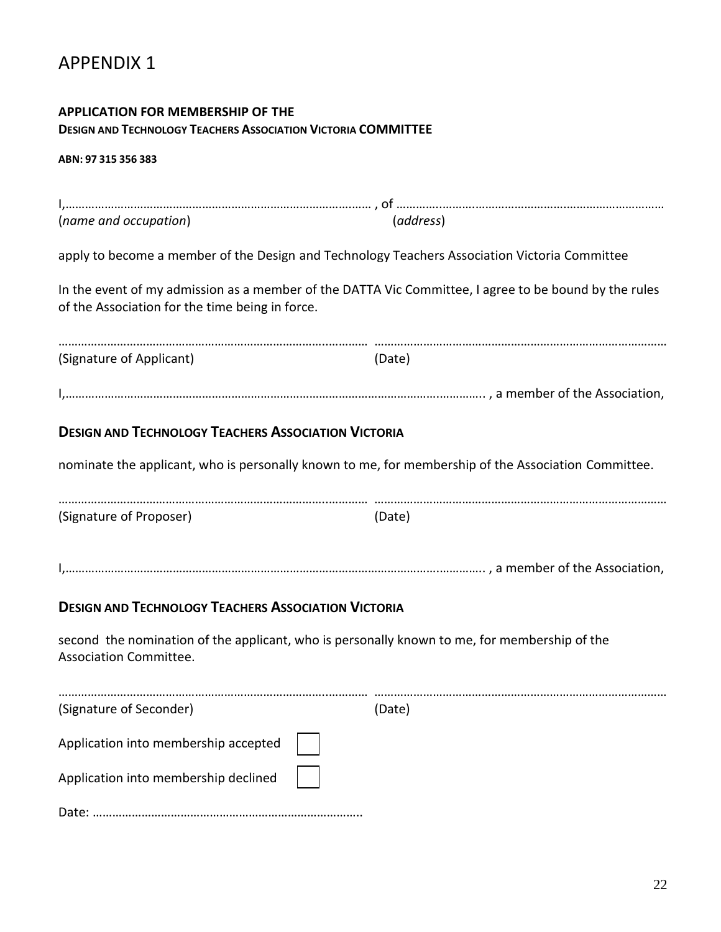# **APPLICATION FOR MEMBERSHIP OF THE DESIGN AND TECHNOLOGY TEACHERS ASSOCIATION VICTORIA COMMITTEE**

# **ABN: 97 315 356 383**

| (name and occupation)                                                                                                  | (address)                                                                                             |  |
|------------------------------------------------------------------------------------------------------------------------|-------------------------------------------------------------------------------------------------------|--|
| apply to become a member of the Design and Technology Teachers Association Victoria Committee                          |                                                                                                       |  |
| of the Association for the time being in force.                                                                        | In the event of my admission as a member of the DATTA Vic Committee, I agree to be bound by the rules |  |
| (Signature of Applicant)                                                                                               | (Date)                                                                                                |  |
|                                                                                                                        |                                                                                                       |  |
| <b>DESIGN AND TECHNOLOGY TEACHERS ASSOCIATION VICTORIA</b>                                                             |                                                                                                       |  |
|                                                                                                                        | nominate the applicant, who is personally known to me, for membership of the Association Committee.   |  |
| (Signature of Proposer)                                                                                                | (Date)                                                                                                |  |
|                                                                                                                        |                                                                                                       |  |
| <b>DESIGN AND TECHNOLOGY TEACHERS ASSOCIATION VICTORIA</b>                                                             |                                                                                                       |  |
| second the nomination of the applicant, who is personally known to me, for membership of the<br>Association Committee. |                                                                                                       |  |
| (Signature of Seconder)                                                                                                | (Date)                                                                                                |  |
| Application into membership accepted                                                                                   |                                                                                                       |  |
| Application into membership declined                                                                                   |                                                                                                       |  |
|                                                                                                                        |                                                                                                       |  |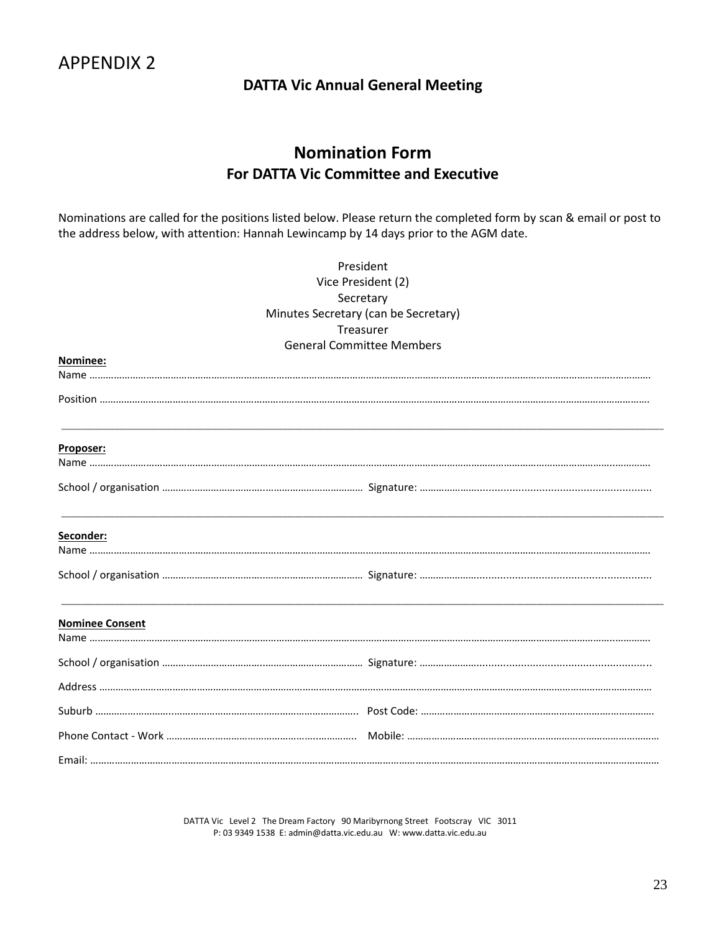# **DATTA Vic Annual General Meeting**

# **Nomination Form For DATTA Vic Committee and Executive**

Nominations are called for the positions listed below. Please return the completed form by scan & email or post to the address below, with attention: Hannah Lewincamp by 14 days prior to the AGM date.

| President                                                                             |  |  |          |
|---------------------------------------------------------------------------------------|--|--|----------|
| Vice President (2)                                                                    |  |  |          |
| Secretary                                                                             |  |  |          |
| Minutes Secretary (can be Secretary)<br>Treasurer<br><b>General Committee Members</b> |  |  |          |
|                                                                                       |  |  | Nominee: |
|                                                                                       |  |  |          |
|                                                                                       |  |  |          |
| Proposer:                                                                             |  |  |          |
|                                                                                       |  |  |          |
|                                                                                       |  |  |          |
| Seconder:                                                                             |  |  |          |
|                                                                                       |  |  |          |
|                                                                                       |  |  |          |
| <b>Nominee Consent</b>                                                                |  |  |          |
|                                                                                       |  |  |          |
|                                                                                       |  |  |          |
|                                                                                       |  |  |          |
|                                                                                       |  |  |          |
|                                                                                       |  |  |          |
|                                                                                       |  |  |          |

DATTA Vic Level 2 The Dream Factory 90 Maribyrnong Street Footscray VIC 3011 P: 03 9349 1538 E: admin@datta.vic.edu.au W: www.datta.vic.edu.au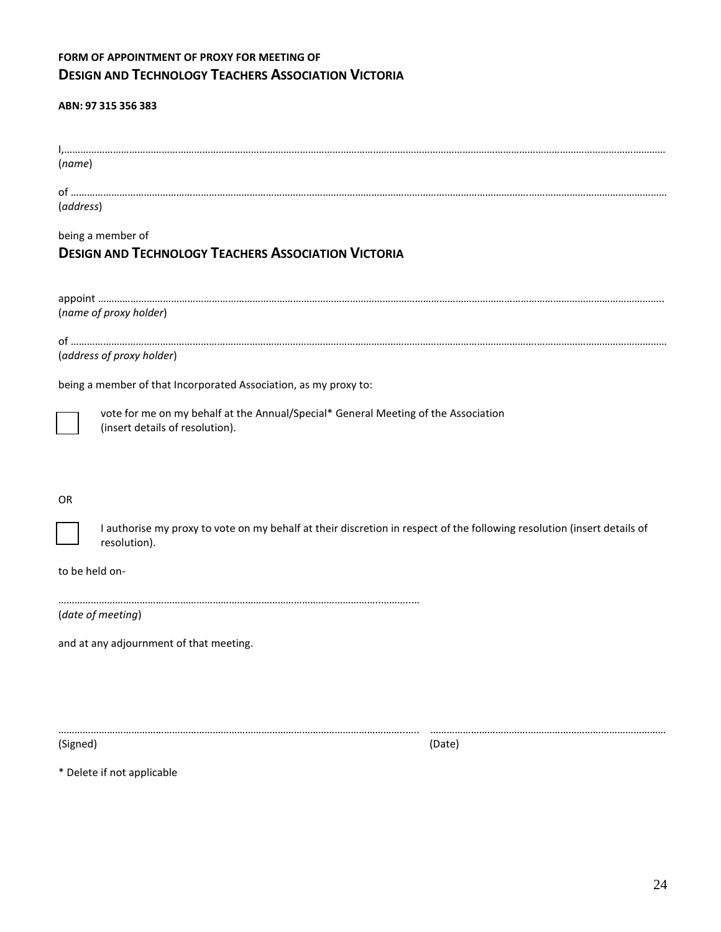# **FORM OF APPOINTMENT OF PROXY FOR MEETING OF DESIGN AND TECHNOLOGY TEACHERS ASSOCIATION VICTORIA**

# **ABN: 97 315 356 383**

| (name)                                                                                                                                  |
|-----------------------------------------------------------------------------------------------------------------------------------------|
| (address)                                                                                                                               |
| being a member of<br><b>DESIGN AND TECHNOLOGY TEACHERS ASSOCIATION VICTORIA</b>                                                         |
| (name of proxy holder)                                                                                                                  |
| (address of proxy holder)                                                                                                               |
| being a member of that Incorporated Association, as my proxy to:                                                                        |
| vote for me on my behalf at the Annual/Special* General Meeting of the Association<br>(insert details of resolution).                   |
| <b>OR</b>                                                                                                                               |
| I authorise my proxy to vote on my behalf at their discretion in respect of the following resolution (insert details of<br>resolution). |
| to be held on-                                                                                                                          |
| (date of meeting)                                                                                                                       |
| and at any adjournment of that meeting.                                                                                                 |

………………………………………………………………………………………………………………..….. ……………………………………………………………………………

(Signed) (Date)

\* Delete if not applicable